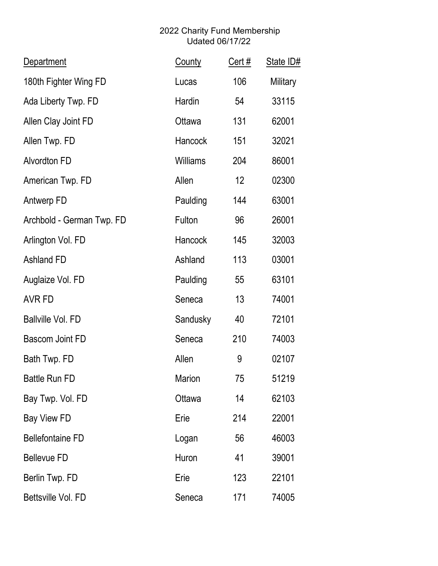| <b>Department</b>         | <b>County</b>  | $Cert$ # | State ID# |
|---------------------------|----------------|----------|-----------|
| 180th Fighter Wing FD     | Lucas          | 106      | Military  |
| Ada Liberty Twp. FD       | Hardin         | 54       | 33115     |
| Allen Clay Joint FD       | Ottawa         | 131      | 62001     |
| Allen Twp. FD             | <b>Hancock</b> | 151      | 32021     |
| <b>Alvordton FD</b>       | Williams       | 204      | 86001     |
| American Twp. FD          | Allen          | 12       | 02300     |
| Antwerp FD                | Paulding       | 144      | 63001     |
| Archbold - German Twp. FD | Fulton         | 96       | 26001     |
| Arlington Vol. FD         | Hancock        | 145      | 32003     |
| <b>Ashland FD</b>         | Ashland        | 113      | 03001     |
| Auglaize Vol. FD          | Paulding       | 55       | 63101     |
| AVR FD                    | Seneca         | 13       | 74001     |
| <b>Ballville Vol. FD</b>  | Sandusky       | 40       | 72101     |
| <b>Bascom Joint FD</b>    | Seneca         | 210      | 74003     |
| Bath Twp. FD              | Allen          | 9        | 02107     |
| <b>Battle Run FD</b>      | Marion         | 75       | 51219     |
| Bay Twp. Vol. FD          | Ottawa         | 14       | 62103     |
| Bay View FD               | Erie           | 214      | 22001     |
| <b>Bellefontaine FD</b>   | Logan          | 56       | 46003     |
| <b>Bellevue FD</b>        | Huron          | 41       | 39001     |
| Berlin Twp. FD            | Erie           | 123      | 22101     |
| Bettsville Vol. FD        | Seneca         | 171      | 74005     |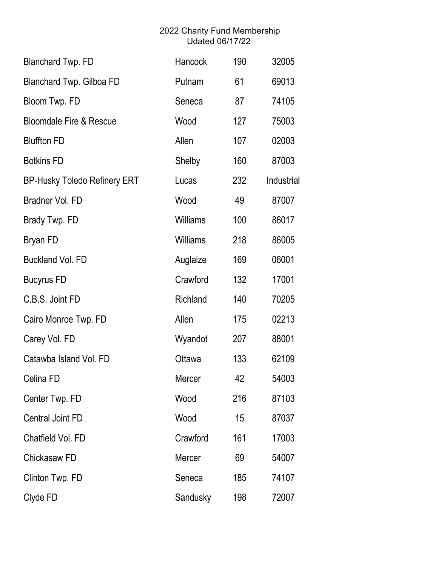| <b>Blanchard Twp. FD</b>            | Hancock         | 190 | 32005      |
|-------------------------------------|-----------------|-----|------------|
| Blanchard Twp. Gilboa FD            | Putnam          | 61  | 69013      |
| Bloom Twp. FD                       | Seneca          | 87  | 74105      |
| <b>Bloomdale Fire &amp; Rescue</b>  | Wood            | 127 | 75003      |
| <b>Bluffton FD</b>                  | Allen           | 107 | 02003      |
| <b>Botkins FD</b>                   | Shelby          | 160 | 87003      |
| <b>BP-Husky Toledo Refinery ERT</b> | Lucas           | 232 | Industrial |
| Bradner Vol. FD                     | Wood            | 49  | 87007      |
| Brady Twp. FD                       | <b>Williams</b> | 100 | 86017      |
| <b>Bryan FD</b>                     | Williams        | 218 | 86005      |
| <b>Buckland Vol. FD</b>             | Auglaize        | 169 | 06001      |
| <b>Bucyrus FD</b>                   | Crawford        | 132 | 17001      |
| C.B.S. Joint FD                     | Richland        | 140 | 70205      |
| Cairo Monroe Twp. FD                | Allen           | 175 | 02213      |
| Carey Vol. FD                       | Wyandot         | 207 | 88001      |
| Catawba Island Vol. FD              | Ottawa          | 133 | 62109      |
| Celina FD                           | Mercer          | 42  | 54003      |
| Center Twp. FD                      | Wood            | 216 | 87103      |
| <b>Central Joint FD</b>             | Wood            | 15  | 87037      |
| Chatfield Vol. FD                   | Crawford        | 161 | 17003      |
| Chickasaw FD                        | Mercer          | 69  | 54007      |
| Clinton Twp. FD                     | Seneca          | 185 | 74107      |
| Clyde FD                            | Sandusky        | 198 | 72007      |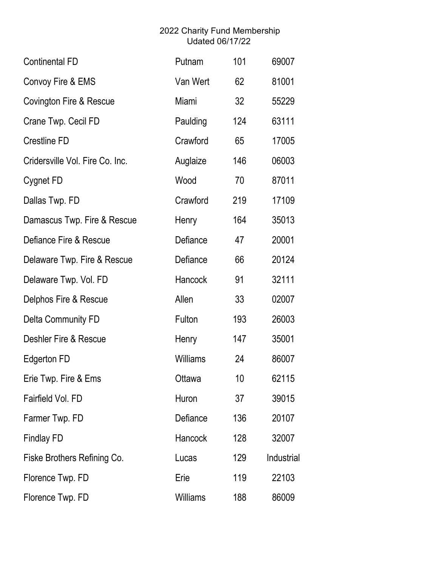| <b>Continental FD</b>           | Putnam          | 101 | 69007      |
|---------------------------------|-----------------|-----|------------|
| Convoy Fire & EMS               | Van Wert        | 62  | 81001      |
| Covington Fire & Rescue         | Miami           | 32  | 55229      |
| Crane Twp. Cecil FD             | Paulding        | 124 | 63111      |
| <b>Crestline FD</b>             | Crawford        | 65  | 17005      |
| Cridersville Vol. Fire Co. Inc. | Auglaize        | 146 | 06003      |
| Cygnet FD                       | Wood            | 70  | 87011      |
| Dallas Twp. FD                  | Crawford        | 219 | 17109      |
| Damascus Twp. Fire & Rescue     | Henry           | 164 | 35013      |
| Defiance Fire & Rescue          | Defiance        | 47  | 20001      |
| Delaware Twp. Fire & Rescue     | Defiance        | 66  | 20124      |
| Delaware Twp. Vol. FD           | Hancock         | 91  | 32111      |
| Delphos Fire & Rescue           | Allen           | 33  | 02007      |
| Delta Community FD              | Fulton          | 193 | 26003      |
| Deshler Fire & Rescue           | Henry           | 147 | 35001      |
| <b>Edgerton FD</b>              | <b>Williams</b> | 24  | 86007      |
| Erie Twp. Fire & Ems            | Ottawa          | 10  | 62115      |
| Fairfield Vol. FD               | Huron           | 37  | 39015      |
| Farmer Twp. FD                  | Defiance        | 136 | 20107      |
| <b>Findlay FD</b>               | Hancock         | 128 | 32007      |
| Fiske Brothers Refining Co.     | Lucas           | 129 | Industrial |
| Florence Twp. FD                | Erie            | 119 | 22103      |
| Florence Twp. FD                | <b>Williams</b> | 188 | 86009      |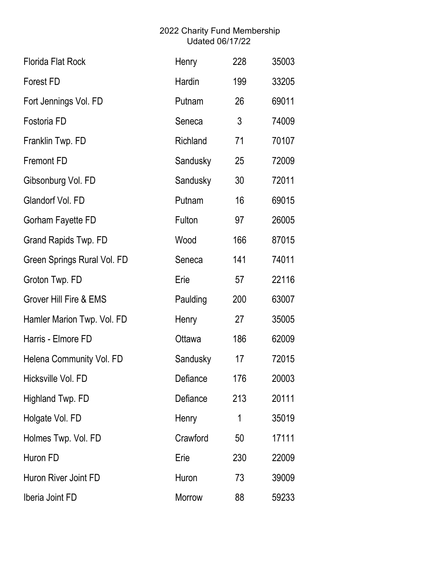| <b>Florida Flat Rock</b>          | Henry    | 228 | 35003 |
|-----------------------------------|----------|-----|-------|
| <b>Forest FD</b>                  | Hardin   | 199 | 33205 |
| Fort Jennings Vol. FD             | Putnam   | 26  | 69011 |
| Fostoria FD                       | Seneca   | 3   | 74009 |
| Franklin Twp. FD                  | Richland | 71  | 70107 |
| <b>Fremont FD</b>                 | Sandusky | 25  | 72009 |
| Gibsonburg Vol. FD                | Sandusky | 30  | 72011 |
| Glandorf Vol. FD                  | Putnam   | 16  | 69015 |
| Gorham Fayette FD                 | Fulton   | 97  | 26005 |
| Grand Rapids Twp. FD              | Wood     | 166 | 87015 |
| Green Springs Rural Vol. FD       | Seneca   | 141 | 74011 |
| Groton Twp. FD                    | Erie     | 57  | 22116 |
| <b>Grover Hill Fire &amp; EMS</b> | Paulding | 200 | 63007 |
| Hamler Marion Twp. Vol. FD        | Henry    | 27  | 35005 |
| Harris - Elmore FD                | Ottawa   | 186 | 62009 |
| Helena Community Vol. FD          | Sandusky | 17  | 72015 |
| Hicksville Vol. FD                | Defiance | 176 | 20003 |
| Highland Twp. FD                  | Defiance | 213 | 20111 |
| Holgate Vol. FD                   | Henry    | 1   | 35019 |
| Holmes Twp. Vol. FD               | Crawford | 50  | 17111 |
| Huron FD                          | Erie     | 230 | 22009 |
| Huron River Joint FD              | Huron    | 73  | 39009 |
| Iberia Joint FD                   | Morrow   | 88  | 59233 |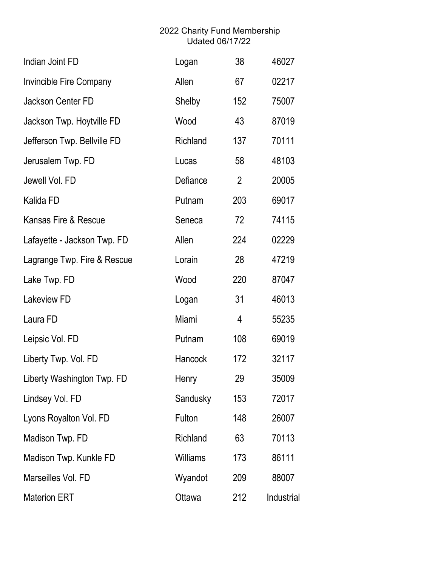| Indian Joint FD             | Logan           | 38             | 46027      |
|-----------------------------|-----------------|----------------|------------|
| Invincible Fire Company     | Allen           | 67             | 02217      |
| Jackson Center FD           | Shelby          | 152            | 75007      |
| Jackson Twp. Hoytville FD   | Wood            | 43             | 87019      |
| Jefferson Twp. Bellville FD | Richland        | 137            | 70111      |
| Jerusalem Twp. FD           | Lucas           | 58             | 48103      |
| Jewell Vol. FD              | Defiance        | $\overline{2}$ | 20005      |
| Kalida FD                   | Putnam          | 203            | 69017      |
| Kansas Fire & Rescue        | Seneca          | 72             | 74115      |
| Lafayette - Jackson Twp. FD | Allen           | 224            | 02229      |
| Lagrange Twp. Fire & Rescue | Lorain          | 28             | 47219      |
| Lake Twp. FD                | Wood            | 220            | 87047      |
| Lakeview FD                 | Logan           | 31             | 46013      |
| Laura FD                    | Miami           | 4              | 55235      |
| Leipsic Vol. FD             | Putnam          | 108            | 69019      |
| Liberty Twp. Vol. FD        | Hancock         | 172            | 32117      |
| Liberty Washington Twp. FD  | Henry           | 29             | 35009      |
| Lindsey Vol. FD             | Sandusky        | 153            | 72017      |
| Lyons Royalton Vol. FD      | Fulton          | 148            | 26007      |
| Madison Twp. FD             | Richland        | 63             | 70113      |
| Madison Twp. Kunkle FD      | <b>Williams</b> | 173            | 86111      |
| Marseilles Vol. FD          | Wyandot         | 209            | 88007      |
| <b>Materion ERT</b>         | Ottawa          | 212            | Industrial |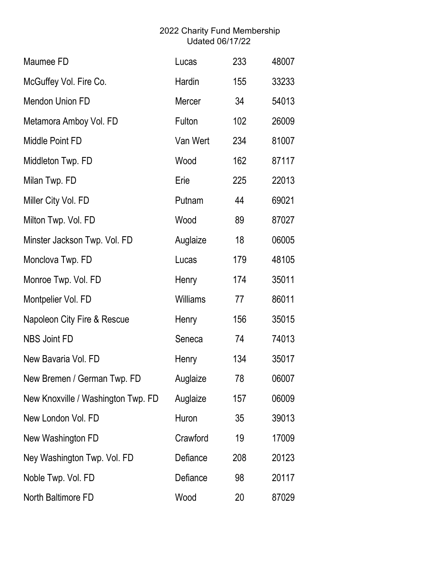| Maumee FD                          | Lucas           | 233 | 48007 |
|------------------------------------|-----------------|-----|-------|
| McGuffey Vol. Fire Co.             | Hardin          | 155 | 33233 |
| <b>Mendon Union FD</b>             | Mercer          | 34  | 54013 |
| Metamora Amboy Vol. FD             | Fulton          | 102 | 26009 |
| Middle Point FD                    | Van Wert        | 234 | 81007 |
| Middleton Twp. FD                  | Wood            | 162 | 87117 |
| Milan Twp. FD                      | Erie            | 225 | 22013 |
| Miller City Vol. FD                | Putnam          | 44  | 69021 |
| Milton Twp. Vol. FD                | Wood            | 89  | 87027 |
| Minster Jackson Twp. Vol. FD       | Auglaize        | 18  | 06005 |
| Monclova Twp. FD                   | Lucas           | 179 | 48105 |
| Monroe Twp. Vol. FD                | Henry           | 174 | 35011 |
| Montpelier Vol. FD                 | <b>Williams</b> | 77  | 86011 |
| Napoleon City Fire & Rescue        | Henry           | 156 | 35015 |
| <b>NBS Joint FD</b>                | Seneca          | 74  | 74013 |
| New Bavaria Vol. FD                | Henry           | 134 | 35017 |
| New Bremen / German Twp. FD        | Auglaize        | 78  | 06007 |
| New Knoxville / Washington Twp. FD | Auglaize        | 157 | 06009 |
| New London Vol. FD                 | Huron           | 35  | 39013 |
| New Washington FD                  | Crawford        | 19  | 17009 |
| Ney Washington Twp. Vol. FD        | Defiance        | 208 | 20123 |
| Noble Twp. Vol. FD                 | Defiance        | 98  | 20117 |
| North Baltimore FD                 | Wood            | 20  | 87029 |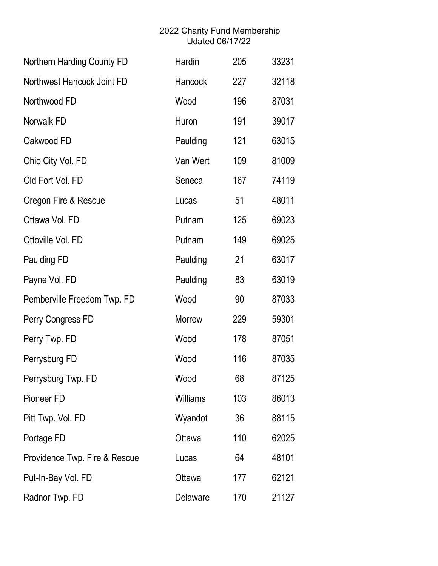| Northern Harding County FD    | Hardin          | 205 | 33231 |
|-------------------------------|-----------------|-----|-------|
| Northwest Hancock Joint FD    | <b>Hancock</b>  | 227 | 32118 |
| Northwood FD                  | Wood            | 196 | 87031 |
| Norwalk FD                    | Huron           | 191 | 39017 |
| Oakwood FD                    | Paulding        | 121 | 63015 |
| Ohio City Vol. FD             | Van Wert        | 109 | 81009 |
| Old Fort Vol. FD              | Seneca          | 167 | 74119 |
| Oregon Fire & Rescue          | Lucas           | 51  | 48011 |
| Ottawa Vol. FD                | Putnam          | 125 | 69023 |
| Ottoville Vol. FD             | Putnam          | 149 | 69025 |
| <b>Paulding FD</b>            | Paulding        | 21  | 63017 |
| Payne Vol. FD                 | Paulding        | 83  | 63019 |
| Pemberville Freedom Twp. FD   | Wood            | 90  | 87033 |
| Perry Congress FD             | Morrow          | 229 | 59301 |
| Perry Twp. FD                 | Wood            | 178 | 87051 |
| Perrysburg FD                 | Wood            | 116 | 87035 |
| Perrysburg Twp. FD            | Wood            | 68  | 87125 |
| Pioneer FD                    | <b>Williams</b> | 103 | 86013 |
| Pitt Twp. Vol. FD             | Wyandot         | 36  | 88115 |
| Portage FD                    | Ottawa          | 110 | 62025 |
| Providence Twp. Fire & Rescue | Lucas           | 64  | 48101 |
| Put-In-Bay Vol. FD            | Ottawa          | 177 | 62121 |
| Radnor Twp. FD                | Delaware        | 170 | 21127 |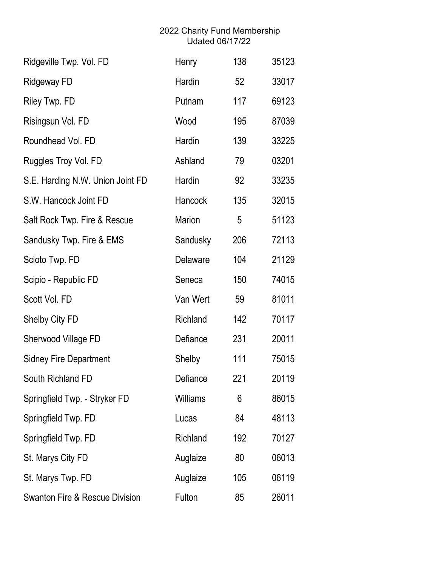| Ridgeville Twp. Vol. FD                   | Henry           | 138 | 35123 |
|-------------------------------------------|-----------------|-----|-------|
| <b>Ridgeway FD</b>                        | Hardin          | 52  | 33017 |
| Riley Twp. FD                             | Putnam          | 117 | 69123 |
| Risingsun Vol. FD                         | Wood            | 195 | 87039 |
| Roundhead Vol. FD                         | Hardin          | 139 | 33225 |
| Ruggles Troy Vol. FD                      | Ashland         | 79  | 03201 |
| S.E. Harding N.W. Union Joint FD          | Hardin          | 92  | 33235 |
| S.W. Hancock Joint FD                     | <b>Hancock</b>  | 135 | 32015 |
| Salt Rock Twp. Fire & Rescue              | Marion          | 5   | 51123 |
| Sandusky Twp. Fire & EMS                  | Sandusky        | 206 | 72113 |
| Scioto Twp. FD                            | Delaware        | 104 | 21129 |
| Scipio - Republic FD                      | Seneca          | 150 | 74015 |
| Scott Vol. FD                             | Van Wert        | 59  | 81011 |
| Shelby City FD                            | Richland        | 142 | 70117 |
| Sherwood Village FD                       | Defiance        | 231 | 20011 |
| <b>Sidney Fire Department</b>             | Shelby          | 111 | 75015 |
| South Richland FD                         | Defiance        | 221 | 20119 |
| Springfield Twp. - Stryker FD             | <b>Williams</b> | 6   | 86015 |
| Springfield Twp. FD                       | Lucas           | 84  | 48113 |
| Springfield Twp. FD                       | Richland        | 192 | 70127 |
| St. Marys City FD                         | Auglaize        | 80  | 06013 |
| St. Marys Twp. FD                         | Auglaize        | 105 | 06119 |
| <b>Swanton Fire &amp; Rescue Division</b> | Fulton          | 85  | 26011 |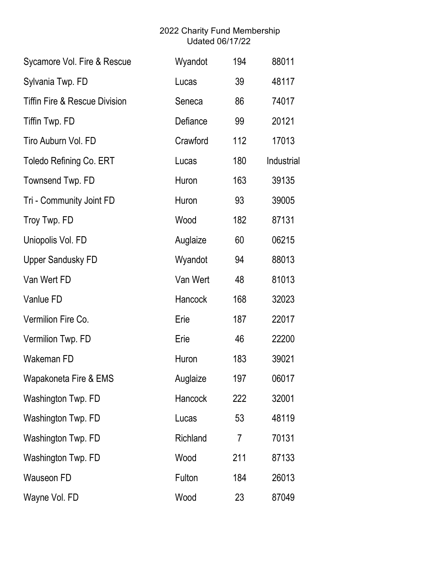| Sycamore Vol. Fire & Rescue              | Wyandot  | 194 | 88011      |
|------------------------------------------|----------|-----|------------|
| Sylvania Twp. FD                         | Lucas    | 39  | 48117      |
| <b>Tiffin Fire &amp; Rescue Division</b> | Seneca   | 86  | 74017      |
| Tiffin Twp. FD                           | Defiance | 99  | 20121      |
| Tiro Auburn Vol. FD                      | Crawford | 112 | 17013      |
| <b>Toledo Refining Co. ERT</b>           | Lucas    | 180 | Industrial |
| Townsend Twp. FD                         | Huron    | 163 | 39135      |
| Tri - Community Joint FD                 | Huron    | 93  | 39005      |
| Troy Twp. FD                             | Wood     | 182 | 87131      |
| Uniopolis Vol. FD                        | Auglaize | 60  | 06215      |
| <b>Upper Sandusky FD</b>                 | Wyandot  | 94  | 88013      |
| Van Wert FD                              | Van Wert | 48  | 81013      |
| Vanlue FD                                | Hancock  | 168 | 32023      |
| Vermilion Fire Co.                       | Erie     | 187 | 22017      |
| Vermilion Twp. FD                        | Erie     | 46  | 22200      |
| Wakeman FD                               | Huron    | 183 | 39021      |
| Wapakoneta Fire & EMS                    | Auglaize | 197 | 06017      |
| Washington Twp. FD                       | Hancock  | 222 | 32001      |
| Washington Twp. FD                       | Lucas    | 53  | 48119      |
| Washington Twp. FD                       | Richland | 7   | 70131      |
| Washington Twp. FD                       | Wood     | 211 | 87133      |
| <b>Wauseon FD</b>                        | Fulton   | 184 | 26013      |
| Wayne Vol. FD                            | Wood     | 23  | 87049      |